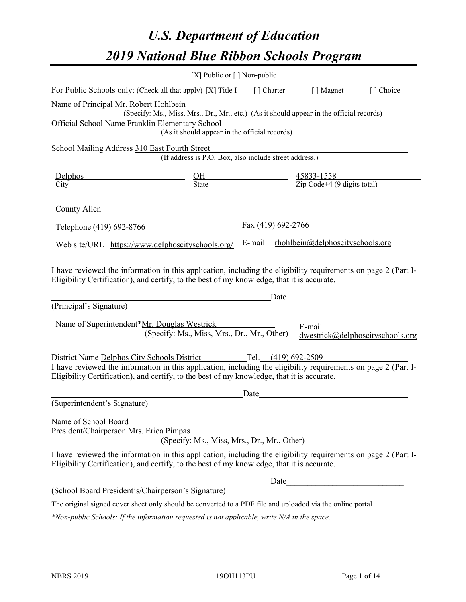# *U.S. Department of Education 2019 National Blue Ribbon Schools Program*

|                                                                                                                                                                                                                                                             | [X] Public or $\lceil$ ] Non-public                                                      |                                                         |      |                                  |                                  |
|-------------------------------------------------------------------------------------------------------------------------------------------------------------------------------------------------------------------------------------------------------------|------------------------------------------------------------------------------------------|---------------------------------------------------------|------|----------------------------------|----------------------------------|
| For Public Schools only: (Check all that apply) [X] Title I                                                                                                                                                                                                 |                                                                                          | [ ] Charter                                             |      | [ ] Magnet                       | [] Choice                        |
| Name of Principal Mr. Robert Hohlbein<br>Official School Name Franklin Elementary School                                                                                                                                                                    | (Specify: Ms., Miss, Mrs., Dr., Mr., etc.) (As it should appear in the official records) |                                                         |      |                                  |                                  |
|                                                                                                                                                                                                                                                             | (As it should appear in the official records)                                            |                                                         |      |                                  |                                  |
| School Mailing Address 310 East Fourth Street                                                                                                                                                                                                               | (If address is P.O. Box, also include street address.)                                   |                                                         |      |                                  |                                  |
| Delphos<br>City                                                                                                                                                                                                                                             | $rac{\text{OH}}{\text{State}}$                                                           | $\frac{45833-1558}{\text{Zip Code}+4 (9 digits total)}$ |      |                                  |                                  |
| County Allen                                                                                                                                                                                                                                                |                                                                                          |                                                         |      |                                  |                                  |
| Telephone (419) 692-8766                                                                                                                                                                                                                                    |                                                                                          | Fax (419) 692-2766                                      |      |                                  |                                  |
| Web site/URL https://www.delphoscityschools.org/                                                                                                                                                                                                            |                                                                                          | E-mail                                                  |      | rhohlbein@delphoscityschools.org |                                  |
| I have reviewed the information in this application, including the eligibility requirements on page 2 (Part I-<br>Eligibility Certification), and certify, to the best of my knowledge, that it is accurate.<br>(Principal's Signature)                     |                                                                                          |                                                         | Date |                                  |                                  |
| Name of Superintendent*Mr. Douglas Westrick                                                                                                                                                                                                                 | (Specify: Ms., Miss, Mrs., Dr., Mr., Other)                                              |                                                         |      | E-mail                           | dwestrick@delphoscityschools.org |
| District Name Delphos City Schools District<br>I have reviewed the information in this application, including the eligibility requirements on page 2 (Part I-<br>Eligibility Certification), and certify, to the best of my knowledge, that it is accurate. |                                                                                          | Tel. (419) 692-2509                                     |      |                                  |                                  |
| (Superintendent's Signature)                                                                                                                                                                                                                                |                                                                                          | Date                                                    |      |                                  |                                  |
| Name of School Board<br>President/Chairperson Mrs. Erica Pimpas                                                                                                                                                                                             | (Specify: Ms., Miss, Mrs., Dr., Mr., Other)                                              |                                                         |      |                                  |                                  |
| I have reviewed the information in this application, including the eligibility requirements on page 2 (Part I-<br>Eligibility Certification), and certify, to the best of my knowledge, that it is accurate.                                                |                                                                                          |                                                         |      |                                  |                                  |
|                                                                                                                                                                                                                                                             |                                                                                          |                                                         | Date |                                  |                                  |
| (School Board President's/Chairperson's Signature)                                                                                                                                                                                                          |                                                                                          |                                                         |      |                                  |                                  |
| The original signed cover sheet only should be converted to a PDF file and uploaded via the online portal.                                                                                                                                                  |                                                                                          |                                                         |      |                                  |                                  |

*\*Non-public Schools: If the information requested is not applicable, write N/A in the space.*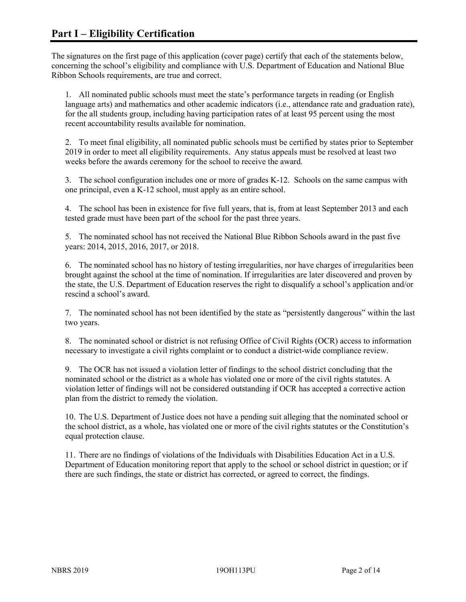The signatures on the first page of this application (cover page) certify that each of the statements below, concerning the school's eligibility and compliance with U.S. Department of Education and National Blue Ribbon Schools requirements, are true and correct.

1. All nominated public schools must meet the state's performance targets in reading (or English language arts) and mathematics and other academic indicators (i.e., attendance rate and graduation rate), for the all students group, including having participation rates of at least 95 percent using the most recent accountability results available for nomination.

2. To meet final eligibility, all nominated public schools must be certified by states prior to September 2019 in order to meet all eligibility requirements. Any status appeals must be resolved at least two weeks before the awards ceremony for the school to receive the award.

3. The school configuration includes one or more of grades K-12. Schools on the same campus with one principal, even a K-12 school, must apply as an entire school.

4. The school has been in existence for five full years, that is, from at least September 2013 and each tested grade must have been part of the school for the past three years.

5. The nominated school has not received the National Blue Ribbon Schools award in the past five years: 2014, 2015, 2016, 2017, or 2018.

6. The nominated school has no history of testing irregularities, nor have charges of irregularities been brought against the school at the time of nomination. If irregularities are later discovered and proven by the state, the U.S. Department of Education reserves the right to disqualify a school's application and/or rescind a school's award.

7. The nominated school has not been identified by the state as "persistently dangerous" within the last two years.

8. The nominated school or district is not refusing Office of Civil Rights (OCR) access to information necessary to investigate a civil rights complaint or to conduct a district-wide compliance review.

9. The OCR has not issued a violation letter of findings to the school district concluding that the nominated school or the district as a whole has violated one or more of the civil rights statutes. A violation letter of findings will not be considered outstanding if OCR has accepted a corrective action plan from the district to remedy the violation.

10. The U.S. Department of Justice does not have a pending suit alleging that the nominated school or the school district, as a whole, has violated one or more of the civil rights statutes or the Constitution's equal protection clause.

11. There are no findings of violations of the Individuals with Disabilities Education Act in a U.S. Department of Education monitoring report that apply to the school or school district in question; or if there are such findings, the state or district has corrected, or agreed to correct, the findings.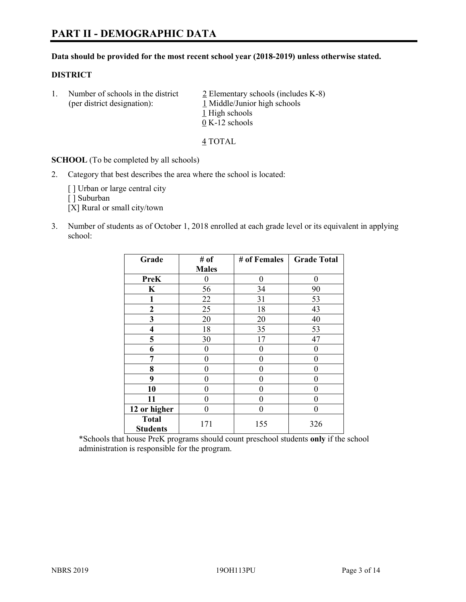#### **Data should be provided for the most recent school year (2018-2019) unless otherwise stated.**

#### **DISTRICT**

1. Number of schools in the district  $\frac{2}{2}$  Elementary schools (includes K-8) (per district designation): 1 Middle/Junior high schools 1 High schools 0 K-12 schools

4 TOTAL

**SCHOOL** (To be completed by all schools)

2. Category that best describes the area where the school is located:

[ ] Urban or large central city

[] Suburban

[X] Rural or small city/town

3. Number of students as of October 1, 2018 enrolled at each grade level or its equivalent in applying school:

| Grade                           | # of         | # of Females | <b>Grade Total</b> |
|---------------------------------|--------------|--------------|--------------------|
|                                 | <b>Males</b> |              |                    |
| <b>PreK</b>                     | 0            | $\theta$     | 0                  |
| $\mathbf K$                     | 56           | 34           | 90                 |
| 1                               | 22           | 31           | 53                 |
| 2                               | 25           | 18           | 43                 |
| 3                               | 20           | 20           | 40                 |
| $\overline{\mathbf{4}}$         | 18           | 35           | 53                 |
| 5                               | 30           | 17           | 47                 |
| 6                               | 0            | $\theta$     | 0                  |
| 7                               | 0            | $\theta$     | 0                  |
| 8                               | 0            | $\theta$     | 0                  |
| 9                               | 0            | $\theta$     | 0                  |
| 10                              | 0            | $\theta$     | 0                  |
| 11                              | 0            | 0            | 0                  |
| 12 or higher                    | 0            | $\theta$     | 0                  |
| <b>Total</b><br><b>Students</b> | 171          | 155          | 326                |

\*Schools that house PreK programs should count preschool students **only** if the school administration is responsible for the program.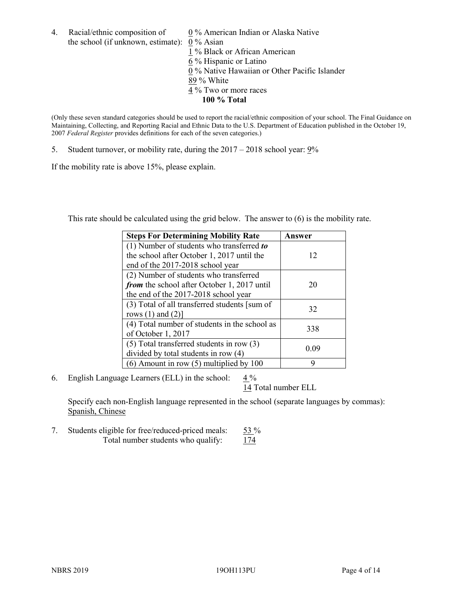4. Racial/ethnic composition of  $0\%$  American Indian or Alaska Native the school (if unknown, estimate): 0 % Asian

 % Black or African American % Hispanic or Latino % Native Hawaiian or Other Pacific Islander 89 % White % Two or more races **100 % Total**

(Only these seven standard categories should be used to report the racial/ethnic composition of your school. The Final Guidance on Maintaining, Collecting, and Reporting Racial and Ethnic Data to the U.S. Department of Education published in the October 19, 2007 *Federal Register* provides definitions for each of the seven categories.)

5. Student turnover, or mobility rate, during the 2017 – 2018 school year: 9%

If the mobility rate is above 15%, please explain.

This rate should be calculated using the grid below. The answer to (6) is the mobility rate.

| <b>Steps For Determining Mobility Rate</b>    | Answer |
|-----------------------------------------------|--------|
| (1) Number of students who transferred to     |        |
| the school after October 1, 2017 until the    | 12     |
| end of the 2017-2018 school year              |        |
| (2) Number of students who transferred        |        |
| from the school after October 1, 2017 until   | 20     |
| the end of the 2017-2018 school year          |        |
| (3) Total of all transferred students [sum of | 32     |
| rows $(1)$ and $(2)$ ]                        |        |
| (4) Total number of students in the school as |        |
| of October 1, 2017                            | 338    |
| $(5)$ Total transferred students in row $(3)$ | 0.09   |
| divided by total students in row (4)          |        |
| $(6)$ Amount in row $(5)$ multiplied by 100   | 9      |

6. English Language Learners (ELL) in the school:  $4\%$ 

14 Total number ELL

Specify each non-English language represented in the school (separate languages by commas): Spanish, Chinese

7. Students eligible for free/reduced-priced meals: 53 % Total number students who qualify: 174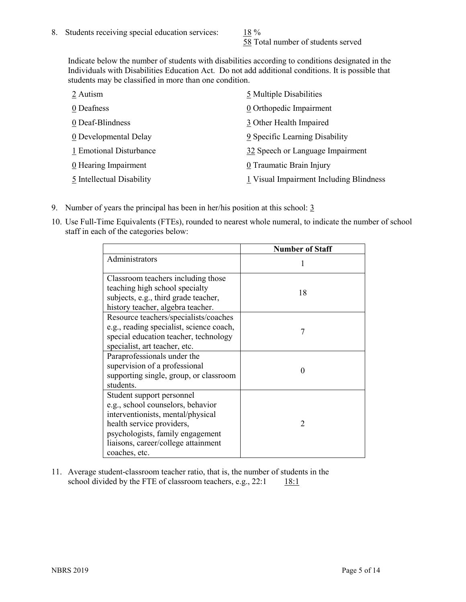58 Total number of students served

Indicate below the number of students with disabilities according to conditions designated in the Individuals with Disabilities Education Act. Do not add additional conditions. It is possible that students may be classified in more than one condition.

| 2 Autism                  | 5 Multiple Disabilities                 |
|---------------------------|-----------------------------------------|
| 0 Deafness                | 0 Orthopedic Impairment                 |
| 0 Deaf-Blindness          | 3 Other Health Impaired                 |
| 0 Developmental Delay     | 9 Specific Learning Disability          |
| 1 Emotional Disturbance   | 32 Speech or Language Impairment        |
| 0 Hearing Impairment      | 0 Traumatic Brain Injury                |
| 5 Intellectual Disability | 1 Visual Impairment Including Blindness |

- 9. Number of years the principal has been in her/his position at this school:  $\frac{3}{5}$
- 10. Use Full-Time Equivalents (FTEs), rounded to nearest whole numeral, to indicate the number of school staff in each of the categories below:

|                                                                                                                                                                                                                              | <b>Number of Staff</b>   |
|------------------------------------------------------------------------------------------------------------------------------------------------------------------------------------------------------------------------------|--------------------------|
| Administrators                                                                                                                                                                                                               |                          |
| Classroom teachers including those<br>teaching high school specialty<br>subjects, e.g., third grade teacher,<br>history teacher, algebra teacher.                                                                            | 18                       |
| Resource teachers/specialists/coaches<br>e.g., reading specialist, science coach,<br>special education teacher, technology<br>specialist, art teacher, etc.                                                                  | 7                        |
| Paraprofessionals under the<br>supervision of a professional<br>supporting single, group, or classroom<br>students.                                                                                                          | 0                        |
| Student support personnel<br>e.g., school counselors, behavior<br>interventionists, mental/physical<br>health service providers,<br>psychologists, family engagement<br>liaisons, career/college attainment<br>coaches, etc. | $\mathfrak{D}_{1}^{(1)}$ |

11. Average student-classroom teacher ratio, that is, the number of students in the school divided by the FTE of classroom teachers, e.g.,  $22:1$  18:1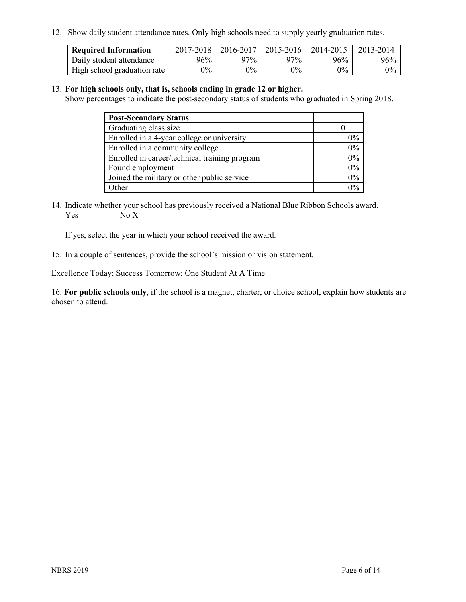12. Show daily student attendance rates. Only high schools need to supply yearly graduation rates.

| <b>Required Information</b> | $2017 - 2018$ | 2016-2017 | 2015-2016 | 2014-2015 | 2013-2014 |
|-----------------------------|---------------|-----------|-----------|-----------|-----------|
| Daily student attendance    | $96\%$        | 97%       | 97%       | 96%       | 96%       |
| High school graduation rate | $0\%$         | $0\%$     | $0\%$     | 9%        | $0\%$     |

#### 13. **For high schools only, that is, schools ending in grade 12 or higher.**

Show percentages to indicate the post-secondary status of students who graduated in Spring 2018.

| <b>Post-Secondary Status</b>                  |       |
|-----------------------------------------------|-------|
| Graduating class size                         |       |
| Enrolled in a 4-year college or university    | $0\%$ |
| Enrolled in a community college               | 0%    |
| Enrolled in career/technical training program | 0%    |
| Found employment                              | 0%    |
| Joined the military or other public service   | 0%    |
| Other                                         | በ‰    |

14. Indicate whether your school has previously received a National Blue Ribbon Schools award. Yes No X

If yes, select the year in which your school received the award.

15. In a couple of sentences, provide the school's mission or vision statement.

Excellence Today; Success Tomorrow; One Student At A Time

16. **For public schools only**, if the school is a magnet, charter, or choice school, explain how students are chosen to attend.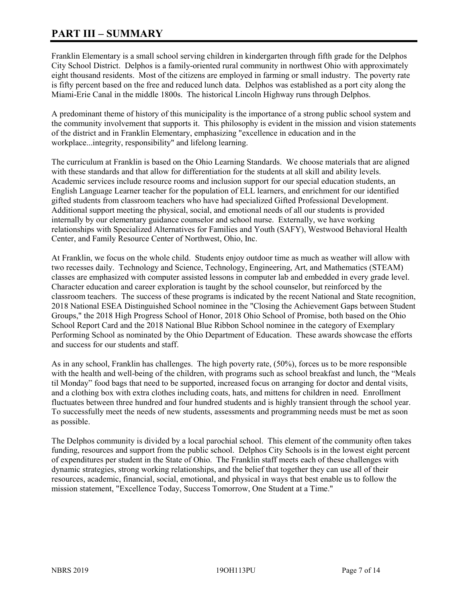# **PART III – SUMMARY**

Franklin Elementary is a small school serving children in kindergarten through fifth grade for the Delphos City School District. Delphos is a family-oriented rural community in northwest Ohio with approximately eight thousand residents. Most of the citizens are employed in farming or small industry. The poverty rate is fifty percent based on the free and reduced lunch data. Delphos was established as a port city along the Miami-Erie Canal in the middle 1800s. The historical Lincoln Highway runs through Delphos.

A predominant theme of history of this municipality is the importance of a strong public school system and the community involvement that supports it. This philosophy is evident in the mission and vision statements of the district and in Franklin Elementary, emphasizing "excellence in education and in the workplace...integrity, responsibility" and lifelong learning.

The curriculum at Franklin is based on the Ohio Learning Standards. We choose materials that are aligned with these standards and that allow for differentiation for the students at all skill and ability levels. Academic services include resource rooms and inclusion support for our special education students, an English Language Learner teacher for the population of ELL learners, and enrichment for our identified gifted students from classroom teachers who have had specialized Gifted Professional Development. Additional support meeting the physical, social, and emotional needs of all our students is provided internally by our elementary guidance counselor and school nurse. Externally, we have working relationships with Specialized Alternatives for Families and Youth (SAFY), Westwood Behavioral Health Center, and Family Resource Center of Northwest, Ohio, Inc.

At Franklin, we focus on the whole child. Students enjoy outdoor time as much as weather will allow with two recesses daily. Technology and Science, Technology, Engineering, Art, and Mathematics (STEAM) classes are emphasized with computer assisted lessons in computer lab and embedded in every grade level. Character education and career exploration is taught by the school counselor, but reinforced by the classroom teachers. The success of these programs is indicated by the recent National and State recognition, 2018 National ESEA Distinguished School nominee in the "Closing the Achievement Gaps between Student Groups," the 2018 High Progress School of Honor, 2018 Ohio School of Promise, both based on the Ohio School Report Card and the 2018 National Blue Ribbon School nominee in the category of Exemplary Performing School as nominated by the Ohio Department of Education. These awards showcase the efforts and success for our students and staff.

As in any school, Franklin has challenges. The high poverty rate, (50%), forces us to be more responsible with the health and well-being of the children, with programs such as school breakfast and lunch, the "Meals til Monday" food bags that need to be supported, increased focus on arranging for doctor and dental visits, and a clothing box with extra clothes including coats, hats, and mittens for children in need. Enrollment fluctuates between three hundred and four hundred students and is highly transient through the school year. To successfully meet the needs of new students, assessments and programming needs must be met as soon as possible.

The Delphos community is divided by a local parochial school. This element of the community often takes funding, resources and support from the public school. Delphos City Schools is in the lowest eight percent of expenditures per student in the State of Ohio. The Franklin staff meets each of these challenges with dynamic strategies, strong working relationships, and the belief that together they can use all of their resources, academic, financial, social, emotional, and physical in ways that best enable us to follow the mission statement, "Excellence Today, Success Tomorrow, One Student at a Time."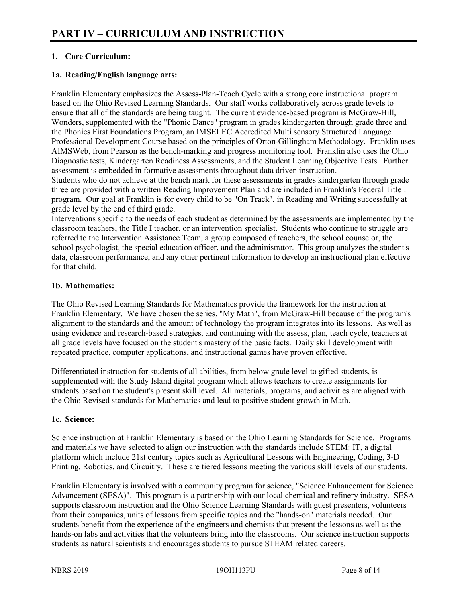# **1. Core Curriculum:**

# **1a. Reading/English language arts:**

Franklin Elementary emphasizes the Assess-Plan-Teach Cycle with a strong core instructional program based on the Ohio Revised Learning Standards. Our staff works collaboratively across grade levels to ensure that all of the standards are being taught. The current evidence-based program is McGraw-Hill, Wonders, supplemented with the "Phonic Dance" program in grades kindergarten through grade three and the Phonics First Foundations Program, an IMSELEC Accredited Multi sensory Structured Language Professional Development Course based on the principles of Orton-Gillingham Methodology. Franklin uses AIMSWeb, from Pearson as the bench-marking and progress monitoring tool. Franklin also uses the Ohio Diagnostic tests, Kindergarten Readiness Assessments, and the Student Learning Objective Tests. Further assessment is embedded in formative assessments throughout data driven instruction.

Students who do not achieve at the bench mark for these assessments in grades kindergarten through grade three are provided with a written Reading Improvement Plan and are included in Franklin's Federal Title I program. Our goal at Franklin is for every child to be "On Track", in Reading and Writing successfully at grade level by the end of third grade.

Interventions specific to the needs of each student as determined by the assessments are implemented by the classroom teachers, the Title I teacher, or an intervention specialist. Students who continue to struggle are referred to the Intervention Assistance Team, a group composed of teachers, the school counselor, the school psychologist, the special education officer, and the administrator. This group analyzes the student's data, classroom performance, and any other pertinent information to develop an instructional plan effective for that child.

#### **1b. Mathematics:**

The Ohio Revised Learning Standards for Mathematics provide the framework for the instruction at Franklin Elementary. We have chosen the series, "My Math", from McGraw-Hill because of the program's alignment to the standards and the amount of technology the program integrates into its lessons. As well as using evidence and research-based strategies, and continuing with the assess, plan, teach cycle, teachers at all grade levels have focused on the student's mastery of the basic facts. Daily skill development with repeated practice, computer applications, and instructional games have proven effective.

Differentiated instruction for students of all abilities, from below grade level to gifted students, is supplemented with the Study Island digital program which allows teachers to create assignments for students based on the student's present skill level. All materials, programs, and activities are aligned with the Ohio Revised standards for Mathematics and lead to positive student growth in Math.

# **1c. Science:**

Science instruction at Franklin Elementary is based on the Ohio Learning Standards for Science. Programs and materials we have selected to align our instruction with the standards include STEM: IT, a digital platform which include 21st century topics such as Agricultural Lessons with Engineering, Coding, 3-D Printing, Robotics, and Circuitry. These are tiered lessons meeting the various skill levels of our students.

Franklin Elementary is involved with a community program for science, "Science Enhancement for Science Advancement (SESA)". This program is a partnership with our local chemical and refinery industry. SESA supports classroom instruction and the Ohio Science Learning Standards with guest presenters, volunteers from their companies, units of lessons from specific topics and the "hands-on" materials needed. Our students benefit from the experience of the engineers and chemists that present the lessons as well as the hands-on labs and activities that the volunteers bring into the classrooms. Our science instruction supports students as natural scientists and encourages students to pursue STEAM related careers.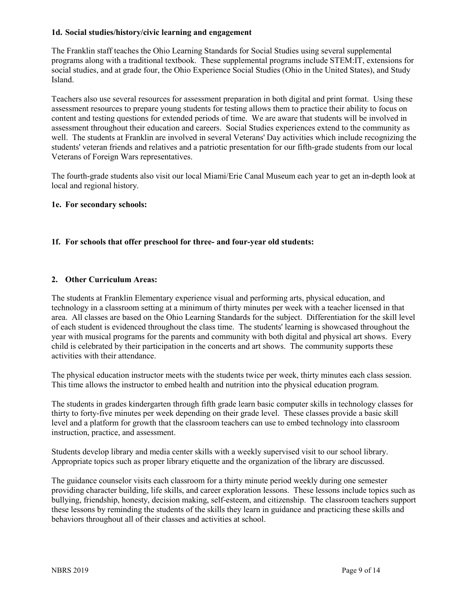#### **1d. Social studies/history/civic learning and engagement**

The Franklin staff teaches the Ohio Learning Standards for Social Studies using several supplemental programs along with a traditional textbook. These supplemental programs include STEM:IT, extensions for social studies, and at grade four, the Ohio Experience Social Studies (Ohio in the United States), and Study Island.

Teachers also use several resources for assessment preparation in both digital and print format. Using these assessment resources to prepare young students for testing allows them to practice their ability to focus on content and testing questions for extended periods of time. We are aware that students will be involved in assessment throughout their education and careers. Social Studies experiences extend to the community as well. The students at Franklin are involved in several Veterans' Day activities which include recognizing the students' veteran friends and relatives and a patriotic presentation for our fifth-grade students from our local Veterans of Foreign Wars representatives.

The fourth-grade students also visit our local Miami/Erie Canal Museum each year to get an in-depth look at local and regional history.

#### **1e. For secondary schools:**

#### **1f. For schools that offer preschool for three- and four-year old students:**

#### **2. Other Curriculum Areas:**

The students at Franklin Elementary experience visual and performing arts, physical education, and technology in a classroom setting at a minimum of thirty minutes per week with a teacher licensed in that area. All classes are based on the Ohio Learning Standards for the subject. Differentiation for the skill level of each student is evidenced throughout the class time. The students' learning is showcased throughout the year with musical programs for the parents and community with both digital and physical art shows. Every child is celebrated by their participation in the concerts and art shows. The community supports these activities with their attendance.

The physical education instructor meets with the students twice per week, thirty minutes each class session. This time allows the instructor to embed health and nutrition into the physical education program.

The students in grades kindergarten through fifth grade learn basic computer skills in technology classes for thirty to forty-five minutes per week depending on their grade level. These classes provide a basic skill level and a platform for growth that the classroom teachers can use to embed technology into classroom instruction, practice, and assessment.

Students develop library and media center skills with a weekly supervised visit to our school library. Appropriate topics such as proper library etiquette and the organization of the library are discussed.

The guidance counselor visits each classroom for a thirty minute period weekly during one semester providing character building, life skills, and career exploration lessons. These lessons include topics such as bullying, friendship, honesty, decision making, self-esteem, and citizenship. The classroom teachers support these lessons by reminding the students of the skills they learn in guidance and practicing these skills and behaviors throughout all of their classes and activities at school.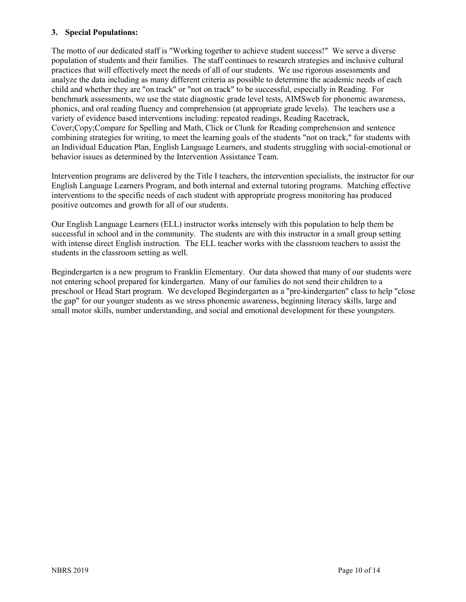#### **3. Special Populations:**

The motto of our dedicated staff is "Working together to achieve student success!" We serve a diverse population of students and their families. The staff continues to research strategies and inclusive cultural practices that will effectively meet the needs of all of our students. We use rigorous assessments and analyze the data including as many different criteria as possible to determine the academic needs of each child and whether they are "on track" or "not on track" to be successful, especially in Reading. For benchmark assessments, we use the state diagnostic grade level tests, AIMSweb for phonemic awareness, phonics, and oral reading fluency and comprehension (at appropriate grade levels). The teachers use a variety of evidence based interventions including: repeated readings, Reading Racetrack, Cover;Copy;Compare for Spelling and Math, Click or Clunk for Reading comprehension and sentence combining strategies for writing, to meet the learning goals of the students "not on track," for students with an Individual Education Plan, English Language Learners, and students struggling with social-emotional or behavior issues as determined by the Intervention Assistance Team.

Intervention programs are delivered by the Title I teachers, the intervention specialists, the instructor for our English Language Learners Program, and both internal and external tutoring programs. Matching effective interventions to the specific needs of each student with appropriate progress monitoring has produced positive outcomes and growth for all of our students.

Our English Language Learners (ELL) instructor works intensely with this population to help them be successful in school and in the community. The students are with this instructor in a small group setting with intense direct English instruction. The ELL teacher works with the classroom teachers to assist the students in the classroom setting as well.

Begindergarten is a new program to Franklin Elementary. Our data showed that many of our students were not entering school prepared for kindergarten. Many of our families do not send their children to a preschool or Head Start program. We developed Begindergarten as a "pre-kindergarten" class to help "close the gap" for our younger students as we stress phonemic awareness, beginning literacy skills, large and small motor skills, number understanding, and social and emotional development for these youngsters.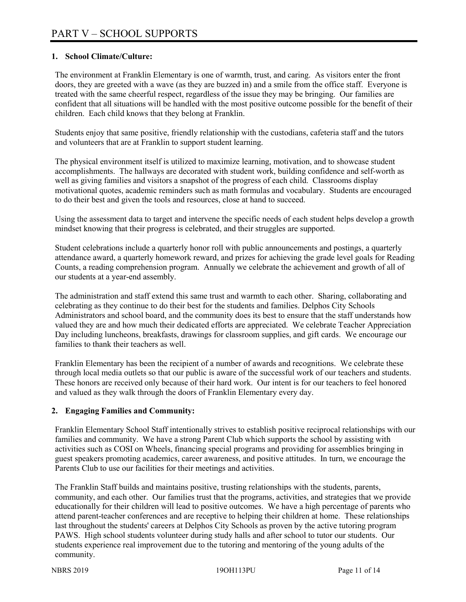### **1. School Climate/Culture:**

The environment at Franklin Elementary is one of warmth, trust, and caring. As visitors enter the front doors, they are greeted with a wave (as they are buzzed in) and a smile from the office staff. Everyone is treated with the same cheerful respect, regardless of the issue they may be bringing. Our families are confident that all situations will be handled with the most positive outcome possible for the benefit of their children. Each child knows that they belong at Franklin.

Students enjoy that same positive, friendly relationship with the custodians, cafeteria staff and the tutors and volunteers that are at Franklin to support student learning.

The physical environment itself is utilized to maximize learning, motivation, and to showcase student accomplishments. The hallways are decorated with student work, building confidence and self-worth as well as giving families and visitors a snapshot of the progress of each child. Classrooms display motivational quotes, academic reminders such as math formulas and vocabulary. Students are encouraged to do their best and given the tools and resources, close at hand to succeed.

Using the assessment data to target and intervene the specific needs of each student helps develop a growth mindset knowing that their progress is celebrated, and their struggles are supported.

Student celebrations include a quarterly honor roll with public announcements and postings, a quarterly attendance award, a quarterly homework reward, and prizes for achieving the grade level goals for Reading Counts, a reading comprehension program. Annually we celebrate the achievement and growth of all of our students at a year-end assembly.

The administration and staff extend this same trust and warmth to each other. Sharing, collaborating and celebrating as they continue to do their best for the students and families. Delphos City Schools Administrators and school board, and the community does its best to ensure that the staff understands how valued they are and how much their dedicated efforts are appreciated. We celebrate Teacher Appreciation Day including luncheons, breakfasts, drawings for classroom supplies, and gift cards. We encourage our families to thank their teachers as well.

Franklin Elementary has been the recipient of a number of awards and recognitions. We celebrate these through local media outlets so that our public is aware of the successful work of our teachers and students. These honors are received only because of their hard work. Our intent is for our teachers to feel honored and valued as they walk through the doors of Franklin Elementary every day.

#### **2. Engaging Families and Community:**

Franklin Elementary School Staff intentionally strives to establish positive reciprocal relationships with our families and community. We have a strong Parent Club which supports the school by assisting with activities such as COSI on Wheels, financing special programs and providing for assemblies bringing in guest speakers promoting academics, career awareness, and positive attitudes. In turn, we encourage the Parents Club to use our facilities for their meetings and activities.

The Franklin Staff builds and maintains positive, trusting relationships with the students, parents, community, and each other. Our families trust that the programs, activities, and strategies that we provide educationally for their children will lead to positive outcomes. We have a high percentage of parents who attend parent-teacher conferences and are receptive to helping their children at home. These relationships last throughout the students' careers at Delphos City Schools as proven by the active tutoring program PAWS. High school students volunteer during study halls and after school to tutor our students. Our students experience real improvement due to the tutoring and mentoring of the young adults of the community.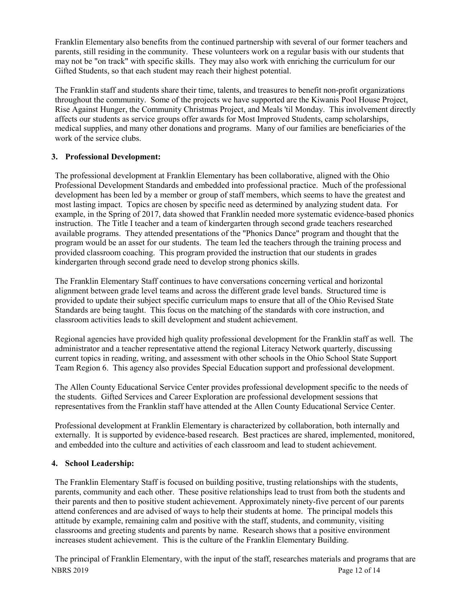Franklin Elementary also benefits from the continued partnership with several of our former teachers and parents, still residing in the community. These volunteers work on a regular basis with our students that may not be "on track" with specific skills. They may also work with enriching the curriculum for our Gifted Students, so that each student may reach their highest potential.

The Franklin staff and students share their time, talents, and treasures to benefit non-profit organizations throughout the community. Some of the projects we have supported are the Kiwanis Pool House Project, Rise Against Hunger, the Community Christmas Project, and Meals 'til Monday. This involvement directly affects our students as service groups offer awards for Most Improved Students, camp scholarships, medical supplies, and many other donations and programs. Many of our families are beneficiaries of the work of the service clubs.

# **3. Professional Development:**

The professional development at Franklin Elementary has been collaborative, aligned with the Ohio Professional Development Standards and embedded into professional practice. Much of the professional development has been led by a member or group of staff members, which seems to have the greatest and most lasting impact. Topics are chosen by specific need as determined by analyzing student data. For example, in the Spring of 2017, data showed that Franklin needed more systematic evidence-based phonics instruction. The Title I teacher and a team of kindergarten through second grade teachers researched available programs. They attended presentations of the "Phonics Dance" program and thought that the program would be an asset for our students. The team led the teachers through the training process and provided classroom coaching. This program provided the instruction that our students in grades kindergarten through second grade need to develop strong phonics skills.

The Franklin Elementary Staff continues to have conversations concerning vertical and horizontal alignment between grade level teams and across the different grade level bands. Structured time is provided to update their subject specific curriculum maps to ensure that all of the Ohio Revised State Standards are being taught. This focus on the matching of the standards with core instruction, and classroom activities leads to skill development and student achievement.

Regional agencies have provided high quality professional development for the Franklin staff as well. The administrator and a teacher representative attend the regional Literacy Network quarterly, discussing current topics in reading, writing, and assessment with other schools in the Ohio School State Support Team Region 6. This agency also provides Special Education support and professional development.

The Allen County Educational Service Center provides professional development specific to the needs of the students. Gifted Services and Career Exploration are professional development sessions that representatives from the Franklin staff have attended at the Allen County Educational Service Center.

Professional development at Franklin Elementary is characterized by collaboration, both internally and externally. It is supported by evidence-based research. Best practices are shared, implemented, monitored, and embedded into the culture and activities of each classroom and lead to student achievement.

# **4. School Leadership:**

The Franklin Elementary Staff is focused on building positive, trusting relationships with the students, parents, community and each other. These positive relationships lead to trust from both the students and their parents and then to positive student achievement. Approximately ninety-five percent of our parents attend conferences and are advised of ways to help their students at home. The principal models this attitude by example, remaining calm and positive with the staff, students, and community, visiting classrooms and greeting students and parents by name. Research shows that a positive environment increases student achievement. This is the culture of the Franklin Elementary Building.

NBRS 2019 Page 12 of 14 The principal of Franklin Elementary, with the input of the staff, researches materials and programs that are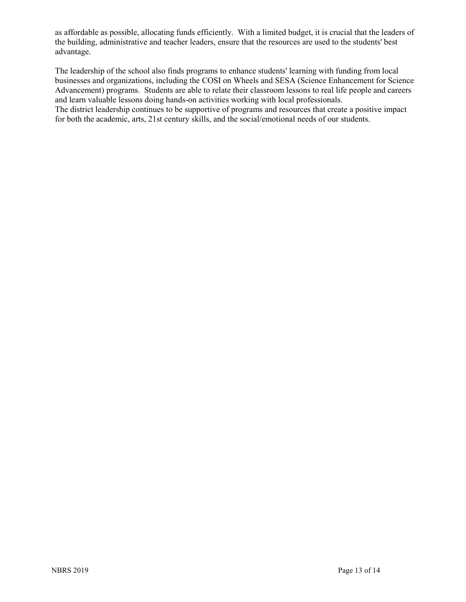as affordable as possible, allocating funds efficiently. With a limited budget, it is crucial that the leaders of the building, administrative and teacher leaders, ensure that the resources are used to the students' best advantage.

The leadership of the school also finds programs to enhance students' learning with funding from local businesses and organizations, including the COSI on Wheels and SESA (Science Enhancement for Science Advancement) programs. Students are able to relate their classroom lessons to real life people and careers and learn valuable lessons doing hands-on activities working with local professionals. The district leadership continues to be supportive of programs and resources that create a positive impact for both the academic, arts, 21st century skills, and the social/emotional needs of our students.